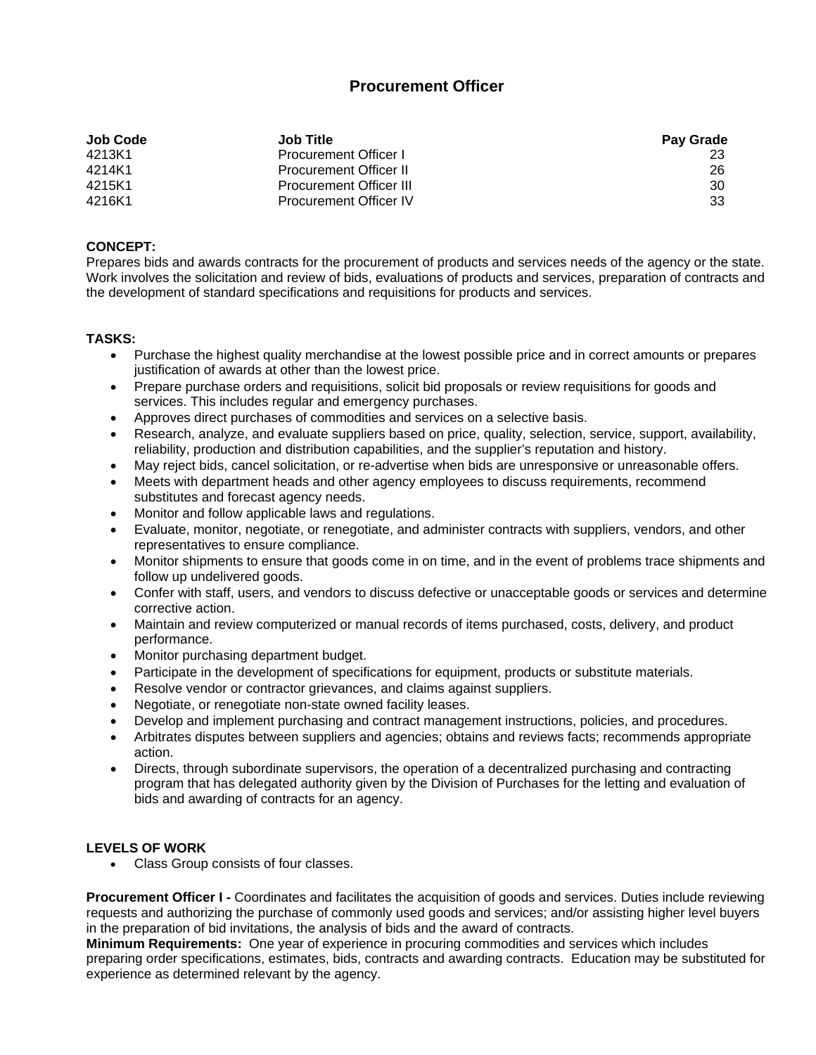## **Procurement Officer**

| Job Code | <b>Job Title</b>               | <b>Pay Grade</b> |
|----------|--------------------------------|------------------|
| 4213K1   | <b>Procurement Officer I</b>   |                  |
| 4214K1   | <b>Procurement Officer II</b>  | 26               |
| 4215K1   | <b>Procurement Officer III</b> | 30               |
| 4216K1   | <b>Procurement Officer IV</b>  | -33              |

## **CONCEPT:**

Prepares bids and awards contracts for the procurement of products and services needs of the agency or the state. Work involves the solicitation and review of bids, evaluations of products and services, preparation of contracts and the development of standard specifications and requisitions for products and services.

## **TASKS:**

- Purchase the highest quality merchandise at the lowest possible price and in correct amounts or prepares justification of awards at other than the lowest price.
- Prepare purchase orders and requisitions, solicit bid proposals or review requisitions for goods and services. This includes regular and emergency purchases.
- Approves direct purchases of commodities and services on a selective basis.
- Research, analyze, and evaluate suppliers based on price, quality, selection, service, support, availability, reliability, production and distribution capabilities, and the supplier's reputation and history.
- May reject bids, cancel solicitation, or re-advertise when bids are unresponsive or unreasonable offers.
- Meets with department heads and other agency employees to discuss requirements, recommend substitutes and forecast agency needs.
- Monitor and follow applicable laws and regulations.
- Evaluate, monitor, negotiate, or renegotiate, and administer contracts with suppliers, vendors, and other representatives to ensure compliance.
- Monitor shipments to ensure that goods come in on time, and in the event of problems trace shipments and follow up undelivered goods.
- Confer with staff, users, and vendors to discuss defective or unacceptable goods or services and determine corrective action.
- Maintain and review computerized or manual records of items purchased, costs, delivery, and product performance.
- Monitor purchasing department budget.
- Participate in the development of specifications for equipment, products or substitute materials.
- Resolve vendor or contractor grievances, and claims against suppliers.
- Negotiate, or renegotiate non-state owned facility leases.
- Develop and implement purchasing and contract management instructions, policies, and procedures.
- Arbitrates disputes between suppliers and agencies; obtains and reviews facts; recommends appropriate action.
- Directs, through subordinate supervisors, the operation of a decentralized purchasing and contracting program that has delegated authority given by the Division of Purchases for the letting and evaluation of bids and awarding of contracts for an agency.

## **LEVELS OF WORK**

Class Group consists of four classes.

**Procurement Officer I -** Coordinates and facilitates the acquisition of goods and services. Duties include reviewing requests and authorizing the purchase of commonly used goods and services; and/or assisting higher level buyers in the preparation of bid invitations, the analysis of bids and the award of contracts.

**Minimum Requirements:** One year of experience in procuring commodities and services which includes preparing order specifications, estimates, bids, contracts and awarding contracts. Education may be substituted for experience as determined relevant by the agency.